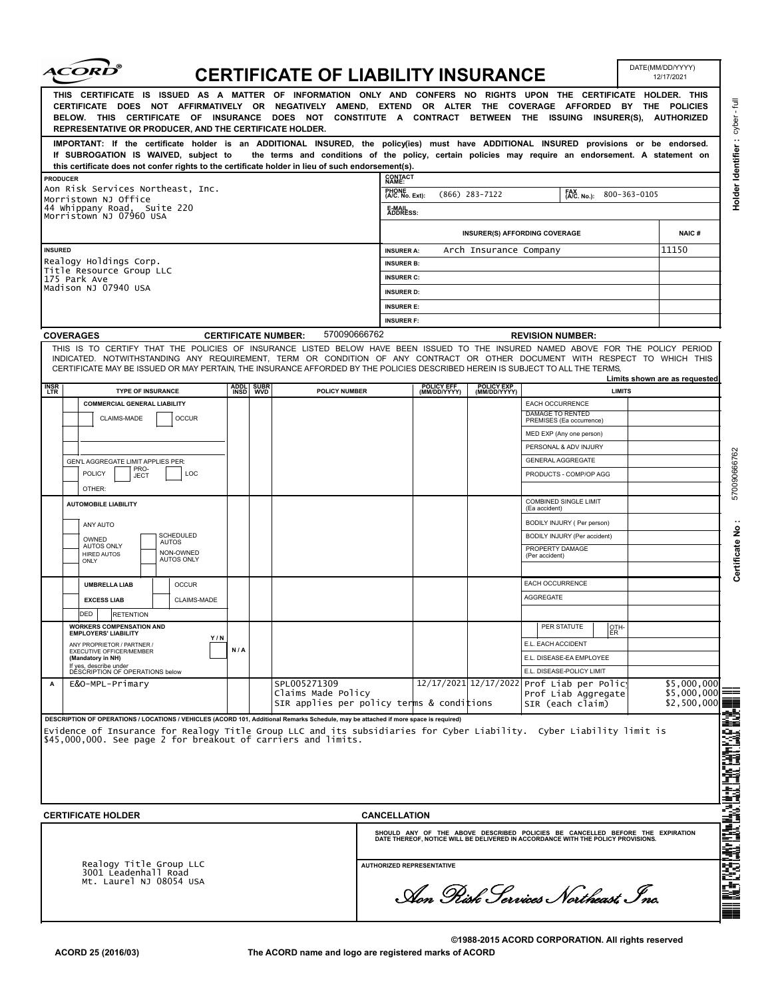| <i><b>ACORD</b></i>                                                                                                                                                                                                                                                                                                                                                                                              |                         |           | <b>CERTIFICATE OF LIABILITY INSURANCE</b>                       |                                                                                    |                            |                            |                                                                                                                                                                   | DATE(MM/DD/YYYY)<br>12/17/2021 |  |
|------------------------------------------------------------------------------------------------------------------------------------------------------------------------------------------------------------------------------------------------------------------------------------------------------------------------------------------------------------------------------------------------------------------|-------------------------|-----------|-----------------------------------------------------------------|------------------------------------------------------------------------------------|----------------------------|----------------------------|-------------------------------------------------------------------------------------------------------------------------------------------------------------------|--------------------------------|--|
| THIS CERTIFICATE IS ISSUED AS A MATTER OF INFORMATION ONLY AND CONFERS NO RIGHTS UPON THE CERTIFICATE HOLDER. THIS<br>CERTIFICATE DOES NOT AFFIRMATIVELY OR NEGATIVELY AMEND, EXTEND OR ALTER THE COVERAGE AFFORDED BY THE POLICIES<br>BELOW. THIS CERTIFICATE OF INSURANCE DOES NOT CONSTITUTE A CONTRACT BETWEEN THE ISSUING INSURER(S), AUTHORIZED<br>REPRESENTATIVE OR PRODUCER, AND THE CERTIFICATE HOLDER. |                         |           |                                                                 |                                                                                    |                            |                            |                                                                                                                                                                   |                                |  |
| IMPORTANT: If the certificate holder is an ADDITIONAL INSURED, the policy(ies) must have ADDITIONAL INSURED provisions or be endorsed.<br>If SUBROGATION IS WAIVED, subject to<br>this certificate does not confer rights to the certificate holder in lieu of such endorsement(s).                                                                                                                              |                         |           |                                                                 |                                                                                    |                            |                            | the terms and conditions of the policy, certain policies may require an endorsement. A statement on                                                               |                                |  |
| <b>PRODUCER</b>                                                                                                                                                                                                                                                                                                                                                                                                  |                         |           |                                                                 | <b>CONTACT</b><br>NAME:                                                            |                            |                            |                                                                                                                                                                   |                                |  |
| Aon Risk Services Northeast, Inc.<br>Morristown NJ Office                                                                                                                                                                                                                                                                                                                                                        |                         |           |                                                                 | PHONE<br>(A/C. No. Ext):<br>FAX<br>(A/C. No.):<br>$(866)$ 283-7122<br>800-363-0105 |                            |                            |                                                                                                                                                                   |                                |  |
| 44 Whippany Road, Suite 220                                                                                                                                                                                                                                                                                                                                                                                      | Morristown NJ 07960 USA |           |                                                                 |                                                                                    | E-MAIL<br>ADDRESS:         |                            |                                                                                                                                                                   |                                |  |
|                                                                                                                                                                                                                                                                                                                                                                                                                  |                         |           |                                                                 |                                                                                    |                            |                            | <b>INSURER(S) AFFORDING COVERAGE</b>                                                                                                                              | <b>NAIC#</b>                   |  |
| <b>INSURED</b>                                                                                                                                                                                                                                                                                                                                                                                                   |                         |           |                                                                 | <b>INSURER A:</b>                                                                  |                            | Arch Insurance Company     |                                                                                                                                                                   | 11150                          |  |
| Realogy Holdings Corp.<br>Title Resource Group LLC                                                                                                                                                                                                                                                                                                                                                               |                         |           |                                                                 | <b>INSURER B:</b>                                                                  |                            |                            |                                                                                                                                                                   |                                |  |
| 175 Park Ave<br>Madison NJ 07940 USA                                                                                                                                                                                                                                                                                                                                                                             |                         |           |                                                                 | <b>INSURER C:</b>                                                                  |                            |                            |                                                                                                                                                                   |                                |  |
|                                                                                                                                                                                                                                                                                                                                                                                                                  |                         |           |                                                                 | <b>INSURER D:</b>                                                                  |                            |                            |                                                                                                                                                                   |                                |  |
|                                                                                                                                                                                                                                                                                                                                                                                                                  |                         |           |                                                                 |                                                                                    | <b>INSURER E:</b>          |                            |                                                                                                                                                                   |                                |  |
| <b>COVERAGES</b>                                                                                                                                                                                                                                                                                                                                                                                                 |                         |           | 570090666762<br><b>CERTIFICATE NUMBER:</b>                      | <b>INSURER F:</b>                                                                  |                            |                            | <b>REVISION NUMBER:</b>                                                                                                                                           |                                |  |
| THIS IS TO CERTIFY THAT THE POLICIES OF INSURANCE LISTED BELOW HAVE BEEN ISSUED TO THE INSURED NAMED ABOVE FOR THE POLICY PERIOD<br>INDICATED. NOTWITHSTANDING ANY REQUIREMENT, TERM OR CONDITION OF ANY CONTRACT OR OTHER DOCUMENT WITH RESPECT TO WHICH THIS<br>CERTIFICATE MAY BE ISSUED OR MAY PERTAIN, THE INSURANCE AFFORDED BY THE POLICIES DESCRIBED HEREIN IS SUBJECT TO ALL THE TERMS,                 |                         |           |                                                                 |                                                                                    |                            |                            |                                                                                                                                                                   |                                |  |
| <b>INSR</b><br>LTR<br><b>TYPE OF INSURANCE</b>                                                                                                                                                                                                                                                                                                                                                                   |                         | ADDL SUBR | POLICY NUMBER                                                   |                                                                                    | POLICY EFF<br>(MM/DD/YYYY) | POLICY EXP<br>(MM/DD/YYYY) | <b>LIMITS</b>                                                                                                                                                     | Limits shown are as requested  |  |
| <b>COMMERCIAL GENERAL LIABILITY</b>                                                                                                                                                                                                                                                                                                                                                                              |                         |           |                                                                 |                                                                                    |                            |                            | EACH OCCURRENCE                                                                                                                                                   |                                |  |
| <b>OCCUR</b><br>CLAIMS-MADE                                                                                                                                                                                                                                                                                                                                                                                      |                         |           |                                                                 |                                                                                    |                            |                            | <b>DAMAGE TO RENTED</b><br>PREMISES (Ea occurrence)                                                                                                               |                                |  |
|                                                                                                                                                                                                                                                                                                                                                                                                                  |                         |           |                                                                 |                                                                                    |                            |                            | MED EXP (Any one person)                                                                                                                                          |                                |  |
|                                                                                                                                                                                                                                                                                                                                                                                                                  |                         |           |                                                                 |                                                                                    |                            |                            | PERSONAL & ADV INJURY                                                                                                                                             |                                |  |
| GEN'L AGGREGATE LIMIT APPLIES PER:<br>PRO-                                                                                                                                                                                                                                                                                                                                                                       |                         |           |                                                                 |                                                                                    |                            |                            | <b>GENERAL AGGREGATE</b>                                                                                                                                          |                                |  |
| <b>POLICY</b><br>LOC<br>JECT<br>OTHER:                                                                                                                                                                                                                                                                                                                                                                           |                         |           |                                                                 |                                                                                    |                            |                            | PRODUCTS - COMP/OP AGG                                                                                                                                            |                                |  |
| <b>AUTOMOBILE LIABILITY</b>                                                                                                                                                                                                                                                                                                                                                                                      |                         |           |                                                                 |                                                                                    |                            |                            | COMBINED SINGLE LIMIT<br>(Ea accident)                                                                                                                            |                                |  |
|                                                                                                                                                                                                                                                                                                                                                                                                                  |                         |           |                                                                 |                                                                                    |                            |                            | BODILY INJURY ( Per person)                                                                                                                                       |                                |  |
| ANY AUTO<br>SCHEDULED<br>OWNED                                                                                                                                                                                                                                                                                                                                                                                   |                         |           |                                                                 |                                                                                    |                            |                            | BODILY INJURY (Per accident)                                                                                                                                      |                                |  |
| <b>AUTOS</b><br><b>AUTOS ONLY</b><br>NON-OWNED<br><b>HIRED AUTOS</b>                                                                                                                                                                                                                                                                                                                                             |                         |           |                                                                 |                                                                                    |                            |                            | PROPERTY DAMAGE                                                                                                                                                   |                                |  |
| <b>AUTOS ONLY</b><br>ONLY                                                                                                                                                                                                                                                                                                                                                                                        |                         |           |                                                                 |                                                                                    |                            |                            | (Per accident)                                                                                                                                                    |                                |  |
| <b>UMBRELLA LIAB</b><br><b>OCCUR</b>                                                                                                                                                                                                                                                                                                                                                                             |                         |           |                                                                 |                                                                                    |                            |                            | EACH OCCURRENCE                                                                                                                                                   |                                |  |
| <b>EXCESS LIAB</b><br>CLAIMS-MADE                                                                                                                                                                                                                                                                                                                                                                                |                         |           |                                                                 |                                                                                    |                            |                            | <b>AGGREGATE</b>                                                                                                                                                  |                                |  |
| DED<br><b>RETENTION</b>                                                                                                                                                                                                                                                                                                                                                                                          |                         |           |                                                                 |                                                                                    |                            |                            |                                                                                                                                                                   |                                |  |
| <b>WORKERS COMPENSATION AND</b><br><b>EMPLOYERS' LIABILITY</b>                                                                                                                                                                                                                                                                                                                                                   |                         |           |                                                                 |                                                                                    |                            |                            | PER STATUTE<br>Іотн-<br>ER                                                                                                                                        |                                |  |
| Y/N<br>ANY PROPRIETOR / PARTNER /                                                                                                                                                                                                                                                                                                                                                                                | N/A                     |           |                                                                 |                                                                                    |                            |                            | E.L. EACH ACCIDENT                                                                                                                                                |                                |  |
| EXECUTIVE OFFICER/MEMBER<br>(Mandatory in NH)                                                                                                                                                                                                                                                                                                                                                                    |                         |           |                                                                 |                                                                                    |                            |                            | E.L. DISEASE-EA EMPLOYEE                                                                                                                                          |                                |  |
|                                                                                                                                                                                                                                                                                                                                                                                                                  |                         |           |                                                                 |                                                                                    |                            |                            | E.L. DISEASE-POLICY LIMIT                                                                                                                                         |                                |  |
|                                                                                                                                                                                                                                                                                                                                                                                                                  |                         |           | Claims Made Policy<br>SIR applies per policy terms & conditions |                                                                                    |                            |                            | Prof Liab Aggregate<br>SIR (each claim)                                                                                                                           | $$5,000,000$ =<br>\$2,500,000  |  |
| If yes, describe under<br>DESCRIPTION OF OPERATIONS below<br>E&O-MPL-Primary                                                                                                                                                                                                                                                                                                                                     |                         |           | SPL005271309                                                    |                                                                                    |                            |                            | 12/17/2021 12/17/2022 Prof Liab per Polic                                                                                                                         | \$5,000,000                    |  |
| DESCRIPTION OF OPERATIONS / LOCATIONS / VEHICLES (ACORD 101, Additional Remarks Schedule, may be attached if more space is required)<br>Evidence of Insurance for Realogy Title Group LLC and its subsidiaries for Cyber Liability. Cyber Liability limit is<br>\$45,000,000. See page 2 for breakout of carriers and limits.                                                                                    |                         |           |                                                                 |                                                                                    |                            |                            |                                                                                                                                                                   |                                |  |
| <b>CERTIFICATE HOLDER</b>                                                                                                                                                                                                                                                                                                                                                                                        |                         |           |                                                                 | <b>CANCELLATION</b>                                                                |                            |                            |                                                                                                                                                                   |                                |  |
|                                                                                                                                                                                                                                                                                                                                                                                                                  |                         |           |                                                                 |                                                                                    |                            |                            | SHOULD ANY OF THE ABOVE DESCRIBED POLICIES BE CANCELLED BEFORE THE EXPIRATION<br>DATE THEREOF, NOTICE WILL BE DELIVERED IN ACCORDANCE WITH THE POLICY PROVISIONS. |                                |  |
| Realogy Title Group LLC<br>3001 Leadenhall Road<br>Mt. Laurel NJ 08054 USA                                                                                                                                                                                                                                                                                                                                       |                         |           |                                                                 | <b>AUTHORIZED REPRESENTATIVE</b><br>Aon Pisk Services Northeast Inc.               |                            |                            |                                                                                                                                                                   |                                |  |

**©1988-2015 ACORD CORPORATION. All rights reserved The ACORD name and logo are registered marks of ACORD**